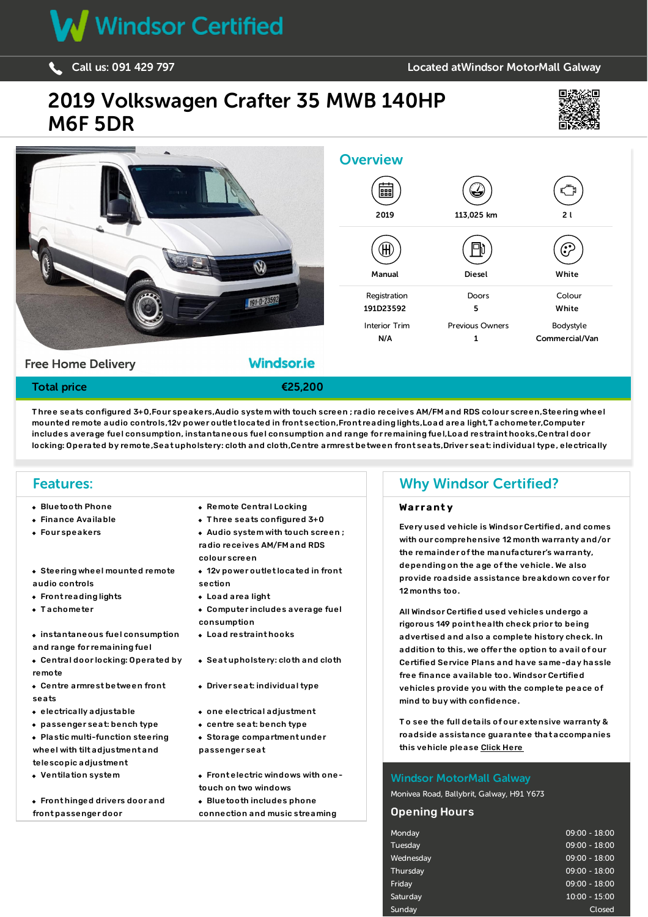

#### [Call](tel:091429797) us: <sup>091</sup> <sup>429</sup> <sup>797</sup> Located atWindsor [MotorMall](//www.windsor.ie/contact-us/windsor-motormall-galway/) Galway

## 2019 [Volkswagen](/used-vans/pdf/) Crafter 35 MWB 140HP M6F 5DR





T hree seats configured 3+0,Four speakers,Audio system with touch screen ; radio receives AM/FM and RDS colour screen,Steering wheel mounted remote audio controls,12v power outlet located in front section,Front reading lights,Load area light,T achometer,Computer includes average fuel consumption, instantaneous fuel consumption and range for remaining fuel,Load restraint hooks,Central door locking: Operated by remote,Seat upholstery: cloth and cloth,Centre armrest between front seats,Driver seat: individual type, electrically

### Features:

- 
- $\ddot{o}$  rated  $\ddot{o}$  indicated  $\ddot{o}$  indicated  $\ddot{o}$  mirrors with indicator  $\ddot{o}$
- 
- Steering wheel mounted remote audio controls
- Front reading lights **Communist Communist Communist Communist Communist Communist Communist Communist Communist Communist Communist Communist Communist Communist Communist Communist Communist Communist Communist Communis**
- 
- $\bullet\,$  instantaneous fuel consumption and range for remaining fuel
- Central door locking: Operated by remote
- Centre armrest between front seats
- 
- passenger seat: bench type centre seat: bench type
- Plastic multi-function steering wheel with tilt adjustment and telescopic adjustment
- 
- Front hinged drivers door and front passenger door
- Bluetooth Phone Remote Central Locking rubbing strip,Black front and rear bumpers,Front fog lights,Day time running lights,Front and rear tyres: low rolling resistance, 16 inch
- Finance Available **Three seats configured 3+0**
- Four speakers **Audio** system with touch screen ; control,Halogen low beam halogen high beam headlights with complex surface lenses, headlights with controls  $\mu$ colour screen
	- section
	-
- Tachometer **Computer includes average fuel** consumption  $\sim$  inside and out. We know you are busy so why not email or call us to will send you are busy so why not email or call us to  $\sim$  call us to  $\sim$  call us to  $\sim$  call us to  $\sim$  call us to  $\sim$  call us to  $\sim$  call us t
	- Load restraint hooks
	- Seat upholstery: cloth and cloth
	- Driver seat: individual type
- electrically adjustable **one electrical adjustment** 
	-
	- Storage compartment under passenger seat
- Ventilation system **Front electric windows with one**touch on two windows Bluetooth includes phone connection and music streaming

#### touch on two windows,Front hinged drivers door and from two windsor Certified?  $\mathbf{r}$ streaming,  $\mathbf{r}$  and autio devices (from  $\mathbf{r}$ ) and  $\mathbf{r}$  and  $\mathbf{r}$  reductions  $\mathbf{r}$

#### **Warranty**

12v power outlet located in front drivers seat, height adjustable seat belt with pre-tensioners on front passenger seat, seat belt on central front seat,Stability with variable is with variable with variable frequency intermediate frequency intermediate frequency intermittent with the steel rear wheels: 16 inch steel rear wheels: 16 inch steel rear wheels: 16 inch steel rims ; width o Four speakers of the system with touch screen ; with our comprehensive 12 month warranty and/or [1] with our comprehensive 12 month warranty and/or [1] with  $\sim$  [1] with our comprehensive 12 month warranty and/or colour screent, the remainder of the manufacturer's warranty, the restraints on the seats with predepending on the age of the vehicle. We also provide roadside assistance breakdown cover for the controls of the controls of the controls of the controls of the controls of the controls of the controls of the controls of the controls of the controls of the come fully 12 months too. and professional professional minimum 12-months too. The  $\sim$   $\frac{1}{2}$  his V Crafter with peace of mind. T his VW Crafter with peace of mind. T his VW Crafter with peace of mind. T his V Crafter with peace of mind. T his

All Windsor Certified used vehicles undergo a the vehicle. We welcome trade-ins and our dedicated finance team have a 95% approval rate with most applications approved within one rigorous 149 point health check prior to being hour. Contact us now on 091 770707 to arrange a viewing at our showrooms on the Monivea Road,Galway or alternatively we bring the van to advertised and also a complete history check. In addition to this, we offer the option to avail of our Certified Service Plans and have same-day hassle free finance available too. Windsor Certified vehicles provide you with the complete peace of mind to buy with confidence.

> T o see the full details of our extensive warranty & roadside assistance guarantee that accompanies this vehicle please Click [Here](/windsor-warranty/)

#### Windsor MotorMall Galway

Monivea Road, Ballybrit, Galway, H91 Y673

#### Opening Hours

| <b>Monday</b> | $09:00 - 18:00$ |
|---------------|-----------------|
| Tuesday       | $09:00 - 18:00$ |
| Wednesday     | $09:00 - 18:00$ |
| Thursday      | $09:00 - 18:00$ |
| Friday        | $09:00 - 18:00$ |
| Saturdav      | $10:00 - 15:00$ |
| Sunday        | Closed          |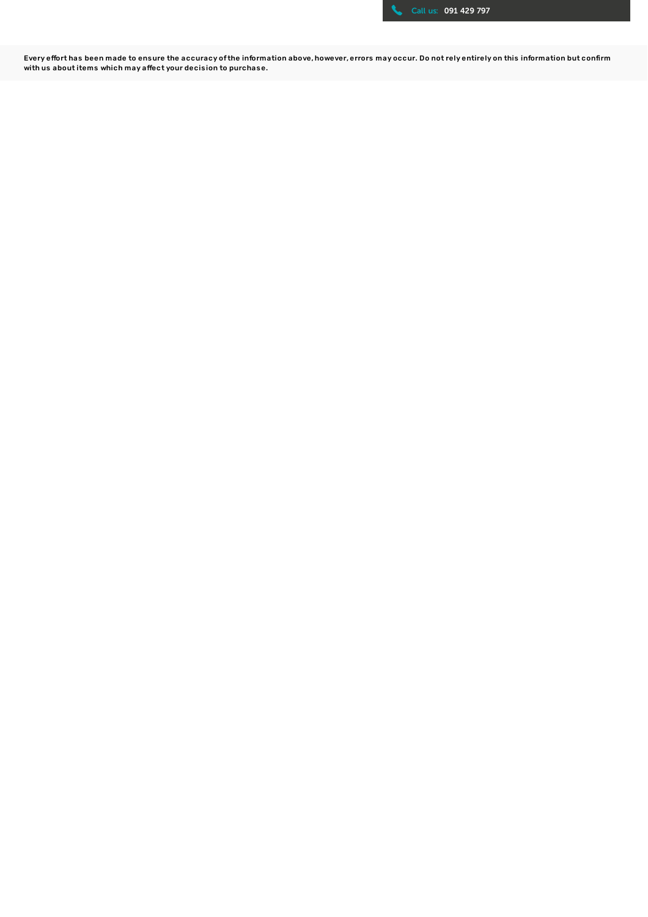

Every effort has been made to ensure the accuracy of the information above, however, errors may occur. Do not rely entirely on this information but confirm with us about items which may affect your decis ion to purchase.